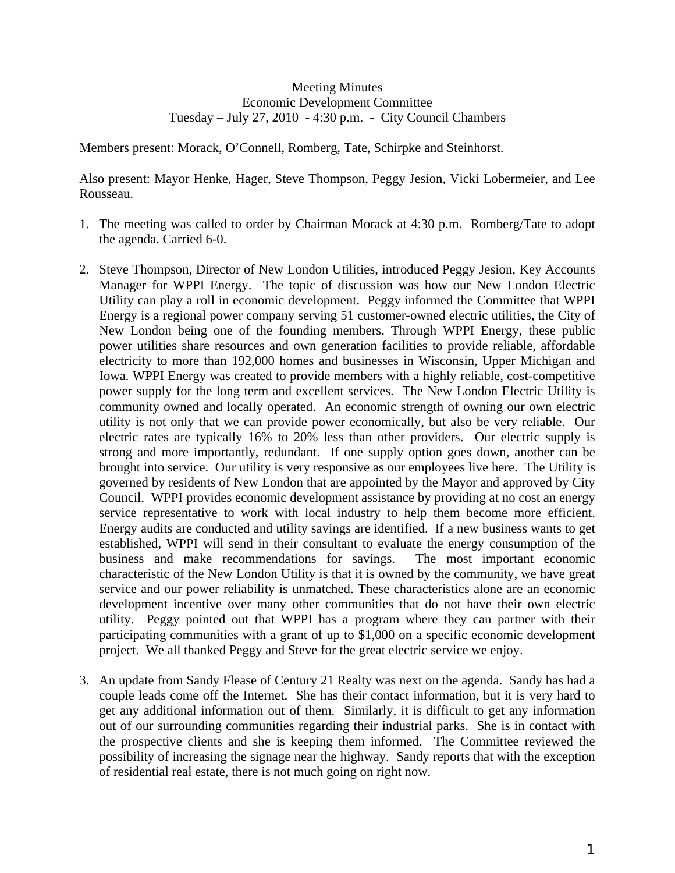## Meeting Minutes Economic Development Committee Tuesday – July 27, 2010 - 4:30 p.m. - City Council Chambers

Members present: Morack, O'Connell, Romberg, Tate, Schirpke and Steinhorst.

Also present: Mayor Henke, Hager, Steve Thompson, Peggy Jesion, Vicki Lobermeier, and Lee Rousseau.

- 1. The meeting was called to order by Chairman Morack at 4:30 p.m. Romberg/Tate to adopt the agenda. Carried 6-0.
- 2. Steve Thompson, Director of New London Utilities, introduced Peggy Jesion, Key Accounts Manager for WPPI Energy. The topic of discussion was how our New London Electric Utility can play a roll in economic development. Peggy informed the Committee that WPPI Energy is a regional power company serving 51 customer-owned electric utilities, the City of New London being one of the founding members. Through WPPI Energy, these public power utilities share resources and own generation facilities to provide reliable, affordable electricity to more than 192,000 homes and businesses in Wisconsin, Upper Michigan and Iowa. WPPI Energy was created to provide members with a highly reliable, cost-competitive power supply for the long term and excellent services. The New London Electric Utility is community owned and locally operated. An economic strength of owning our own electric utility is not only that we can provide power economically, but also be very reliable. Our electric rates are typically 16% to 20% less than other providers. Our electric supply is strong and more importantly, redundant. If one supply option goes down, another can be brought into service. Our utility is very responsive as our employees live here. The Utility is governed by residents of New London that are appointed by the Mayor and approved by City Council. WPPI provides economic development assistance by providing at no cost an energy service representative to work with local industry to help them become more efficient. Energy audits are conducted and utility savings are identified. If a new business wants to get established, WPPI will send in their consultant to evaluate the energy consumption of the business and make recommendations for savings. The most important economic characteristic of the New London Utility is that it is owned by the community, we have great service and our power reliability is unmatched. These characteristics alone are an economic development incentive over many other communities that do not have their own electric utility. Peggy pointed out that WPPI has a program where they can partner with their participating communities with a grant of up to \$1,000 on a specific economic development project. We all thanked Peggy and Steve for the great electric service we enjoy.
- 3. An update from Sandy Flease of Century 21 Realty was next on the agenda. Sandy has had a couple leads come off the Internet. She has their contact information, but it is very hard to get any additional information out of them. Similarly, it is difficult to get any information out of our surrounding communities regarding their industrial parks. She is in contact with the prospective clients and she is keeping them informed. The Committee reviewed the possibility of increasing the signage near the highway. Sandy reports that with the exception of residential real estate, there is not much going on right now.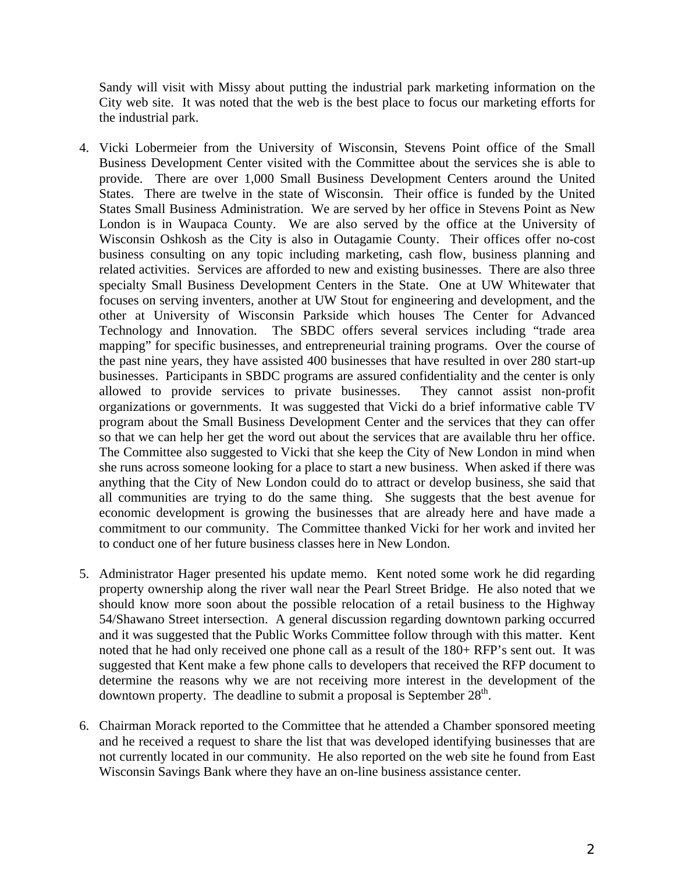Sandy will visit with Missy about putting the industrial park marketing information on the City web site. It was noted that the web is the best place to focus our marketing efforts for the industrial park.

- 4. Vicki Lobermeier from the University of Wisconsin, Stevens Point office of the Small Business Development Center visited with the Committee about the services she is able to provide. There are over 1,000 Small Business Development Centers around the United States. There are twelve in the state of Wisconsin. Their office is funded by the United States Small Business Administration. We are served by her office in Stevens Point as New London is in Waupaca County. We are also served by the office at the University of Wisconsin Oshkosh as the City is also in Outagamie County. Their offices offer no-cost business consulting on any topic including marketing, cash flow, business planning and related activities. Services are afforded to new and existing businesses. There are also three specialty Small Business Development Centers in the State. One at UW Whitewater that focuses on serving inventers, another at UW Stout for engineering and development, and the other at University of Wisconsin Parkside which houses The Center for Advanced Technology and Innovation. The SBDC offers several services including "trade area mapping" for specific businesses, and entrepreneurial training programs. Over the course of the past nine years, they have assisted 400 businesses that have resulted in over 280 start-up businesses. Participants in SBDC programs are assured confidentiality and the center is only allowed to provide services to private businesses. They cannot assist non-profit organizations or governments. It was suggested that Vicki do a brief informative cable TV program about the Small Business Development Center and the services that they can offer so that we can help her get the word out about the services that are available thru her office. The Committee also suggested to Vicki that she keep the City of New London in mind when she runs across someone looking for a place to start a new business. When asked if there was anything that the City of New London could do to attract or develop business, she said that all communities are trying to do the same thing. She suggests that the best avenue for economic development is growing the businesses that are already here and have made a commitment to our community. The Committee thanked Vicki for her work and invited her to conduct one of her future business classes here in New London.
- 5. Administrator Hager presented his update memo. Kent noted some work he did regarding property ownership along the river wall near the Pearl Street Bridge. He also noted that we should know more soon about the possible relocation of a retail business to the Highway 54/Shawano Street intersection. A general discussion regarding downtown parking occurred and it was suggested that the Public Works Committee follow through with this matter. Kent noted that he had only received one phone call as a result of the 180+ RFP's sent out. It was suggested that Kent make a few phone calls to developers that received the RFP document to determine the reasons why we are not receiving more interest in the development of the downtown property. The deadline to submit a proposal is September  $28<sup>th</sup>$ .
- 6. Chairman Morack reported to the Committee that he attended a Chamber sponsored meeting and he received a request to share the list that was developed identifying businesses that are not currently located in our community. He also reported on the web site he found from East Wisconsin Savings Bank where they have an on-line business assistance center.